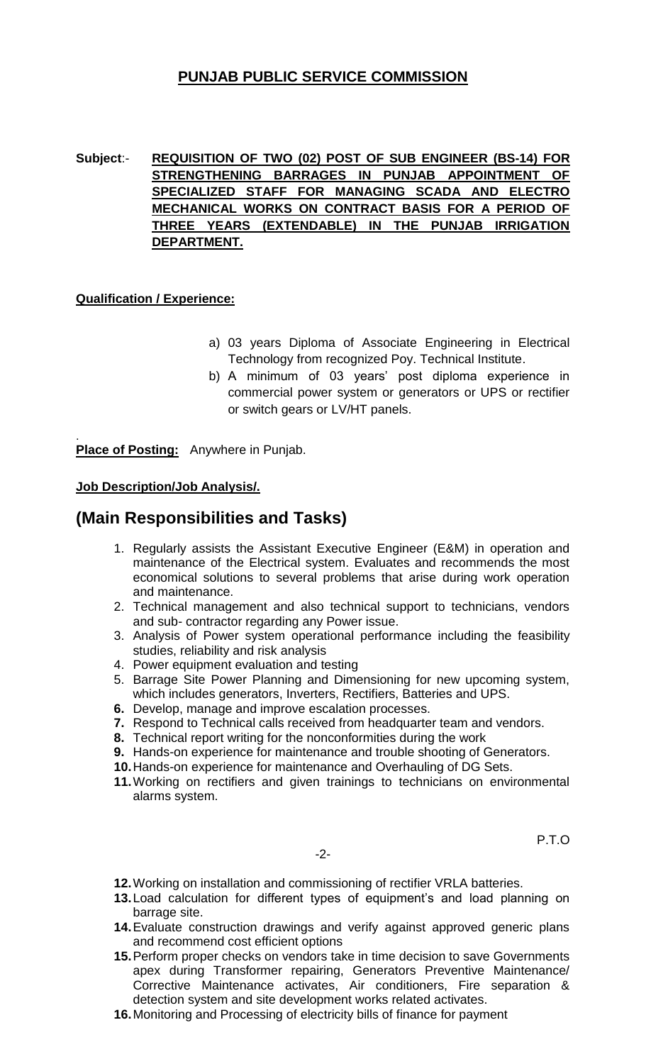# **PUNJAB PUBLIC SERVICE COMMISSION**

**Subject**:- **REQUISITION OF TWO (02) POST OF SUB ENGINEER (BS-14) FOR STRENGTHENING BARRAGES IN PUNJAB APPOINTMENT OF SPECIALIZED STAFF FOR MANAGING SCADA AND ELECTRO MECHANICAL WORKS ON CONTRACT BASIS FOR A PERIOD OF THREE YEARS (EXTENDABLE) IN THE PUNJAB IRRIGATION DEPARTMENT.**

### **Qualification / Experience:**

- a) 03 years Diploma of Associate Engineering in Electrical Technology from recognized Poy. Technical Institute.
- b) A minimum of 03 years' post diploma experience in commercial power system or generators or UPS or rectifier or switch gears or LV/HT panels.

. **Place of Posting:** Anywhere in Punjab.

### **Job Description/Job Analysis/.**

## **(Main Responsibilities and Tasks)**

- 1. Regularly assists the Assistant Executive Engineer (E&M) in operation and maintenance of the Electrical system. Evaluates and recommends the most economical solutions to several problems that arise during work operation and maintenance.
- 2. Technical management and also technical support to technicians, vendors and sub- contractor regarding any Power issue.
- 3. Analysis of Power system operational performance including the feasibility studies, reliability and risk analysis
- 4. Power equipment evaluation and testing
- 5. Barrage Site Power Planning and Dimensioning for new upcoming system, which includes generators, Inverters, Rectifiers, Batteries and UPS.
- **6.** Develop, manage and improve escalation processes.
- **7.** Respond to Technical calls received from headquarter team and vendors.
- **8.** Technical report writing for the nonconformities during the work
- **9.** Hands-on experience for maintenance and trouble shooting of Generators.
- **10.**Hands-on experience for maintenance and Overhauling of DG Sets.
- **11.**Working on rectifiers and given trainings to technicians on environmental alarms system.

P.T.O

- -2-
- **12.**Working on installation and commissioning of rectifier VRLA batteries.
- **13.**Load calculation for different types of equipment's and load planning on barrage site.
- **14.**Evaluate construction drawings and verify against approved generic plans and recommend cost efficient options
- **15.**Perform proper checks on vendors take in time decision to save Governments apex during Transformer repairing, Generators Preventive Maintenance/ Corrective Maintenance activates, Air conditioners, Fire separation & detection system and site development works related activates.
- **16.**Monitoring and Processing of electricity bills of finance for payment